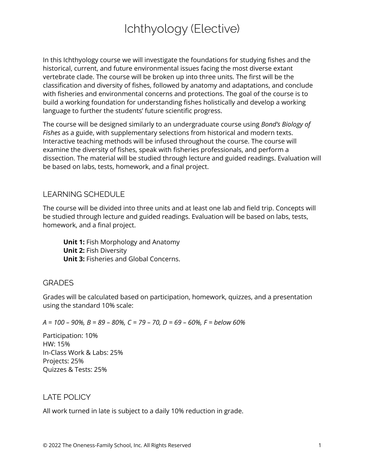# Ichthyology (Elective)

In this Ichthyology course we will investigate the foundations for studying fishes and the historical, current, and future environmental issues facing the most diverse extant vertebrate clade. The course will be broken up into three units. The first will be the classification and diversity of fishes, followed by anatomy and adaptations, and conclude with fisheries and environmental concerns and protections. The goal of the course is to build a working foundation for understanding fishes holistically and develop a working language to further the students' future scientific progress.

The course will be designed similarly to an undergraduate course using *Bond's Biology of Fishes* as a guide, with supplementary selections from historical and modern texts. Interactive teaching methods will be infused throughout the course. The course will examine the diversity of fishes, speak with fisheries professionals, and perform a dissection. The material will be studied through lecture and guided readings. Evaluation will be based on labs, tests, homework, and a final project.

## LEARNING SCHEDULE

The course will be divided into three units and at least one lab and field trip. Concepts will be studied through lecture and guided readings. Evaluation will be based on labs, tests, homework, and a final project.

**Unit 1:** Fish Morphology and Anatomy **Unit 2:** Fish Diversity **Unit 3:** Fisheries and Global Concerns.

## **GRADES**

Grades will be calculated based on participation, homework, quizzes, and a presentation using the standard 10% scale:

#### $A = 100 - 90\%$ ,  $B = 89 - 80\%$ ,  $C = 79 - 70$ ,  $D = 69 - 60\%$ ,  $F =$  below 60%

Participation: 10% HW: 15% In-Class Work & Labs: 25% Projects: 25% Quizzes & Tests: 25%

## LATE POLICY

All work turned in late is subject to a daily 10% reduction in grade.